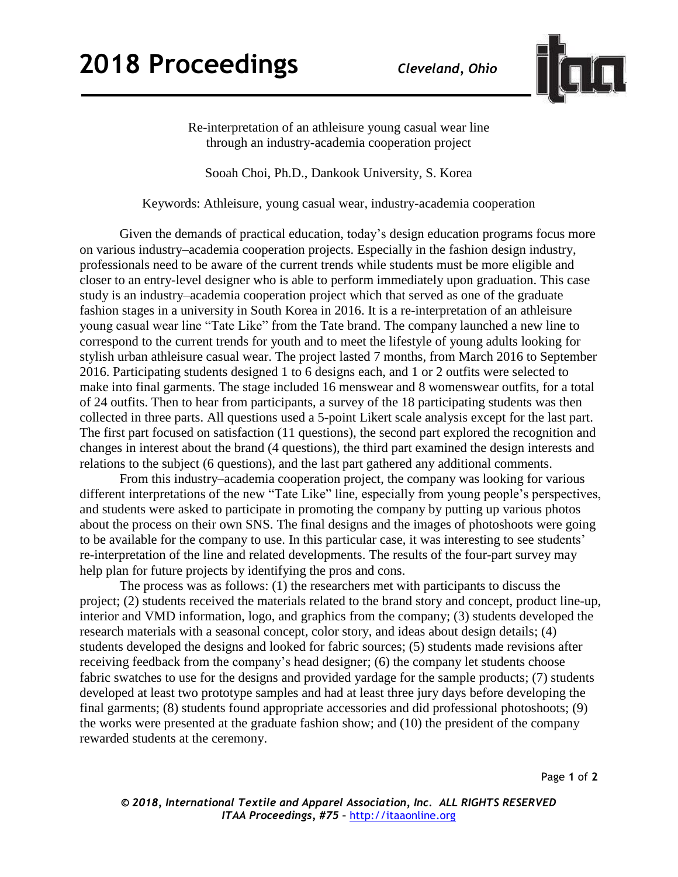

Re-interpretation of an athleisure young casual wear line through an industry-academia cooperation project

Sooah Choi, Ph.D., Dankook University, S. Korea

Keywords: Athleisure, young casual wear, industry-academia cooperation

Given the demands of practical education, today's design education programs focus more on various industry–academia cooperation projects. Especially in the fashion design industry, professionals need to be aware of the current trends while students must be more eligible and closer to an entry-level designer who is able to perform immediately upon graduation. This case study is an industry–academia cooperation project which that served as one of the graduate fashion stages in a university in South Korea in 2016. It is a re-interpretation of an athleisure young casual wear line "Tate Like" from the Tate brand. The company launched a new line to correspond to the current trends for youth and to meet the lifestyle of young adults looking for stylish urban athleisure casual wear. The project lasted 7 months, from March 2016 to September 2016. Participating students designed 1 to 6 designs each, and 1 or 2 outfits were selected to make into final garments. The stage included 16 menswear and 8 womenswear outfits, for a total of 24 outfits. Then to hear from participants, a survey of the 18 participating students was then collected in three parts. All questions used a 5-point Likert scale analysis except for the last part. The first part focused on satisfaction (11 questions), the second part explored the recognition and changes in interest about the brand (4 questions), the third part examined the design interests and relations to the subject (6 questions), and the last part gathered any additional comments.

From this industry–academia cooperation project, the company was looking for various different interpretations of the new "Tate Like" line, especially from young people's perspectives, and students were asked to participate in promoting the company by putting up various photos about the process on their own SNS. The final designs and the images of photoshoots were going to be available for the company to use. In this particular case, it was interesting to see students' re-interpretation of the line and related developments. The results of the four-part survey may help plan for future projects by identifying the pros and cons.

The process was as follows: (1) the researchers met with participants to discuss the project; (2) students received the materials related to the brand story and concept, product line-up, interior and VMD information, logo, and graphics from the company; (3) students developed the research materials with a seasonal concept, color story, and ideas about design details; (4) students developed the designs and looked for fabric sources; (5) students made revisions after receiving feedback from the company's head designer; (6) the company let students choose fabric swatches to use for the designs and provided yardage for the sample products; (7) students developed at least two prototype samples and had at least three jury days before developing the final garments; (8) students found appropriate accessories and did professional photoshoots; (9) the works were presented at the graduate fashion show; and (10) the president of the company rewarded students at the ceremony.

Page **1** of **2**